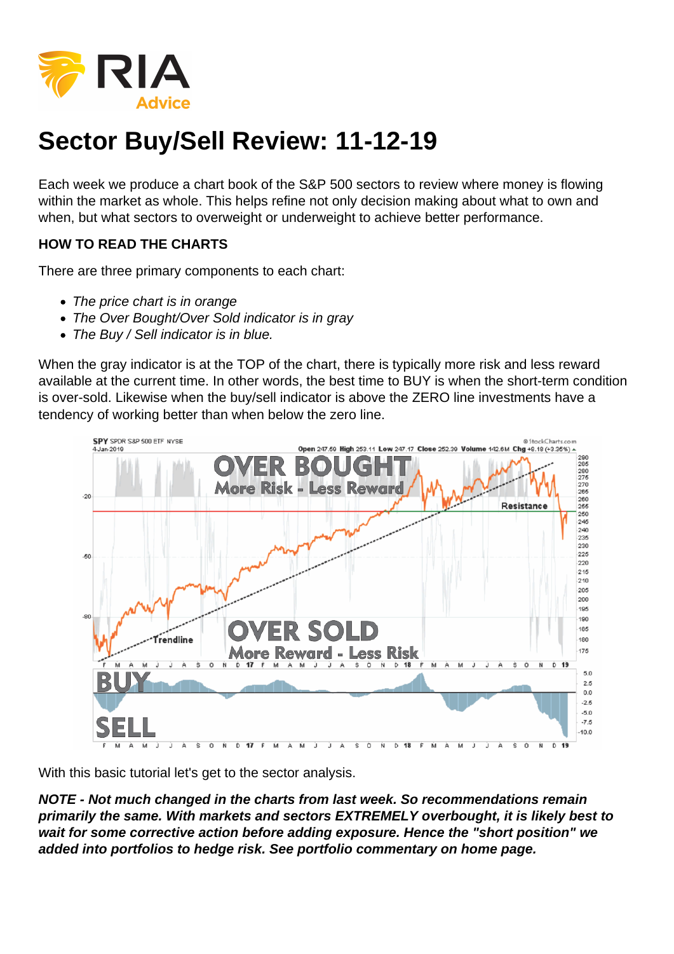## Sector Buy/Sell Review: 11-12-19

Each week we produce a chart book of the S&P 500 sectors to review where money is flowing within the market as whole. This helps refine not only decision making about what to own and when, but what sectors to overweight or underweight to achieve better performance.

HOW TO READ THE CHARTS

There are three primary components to each chart:

- The price chart is in orange
- The Over Bought/Over Sold indicator is in gray
- The Buy / Sell indicator is in blue.

When the gray indicator is at the TOP of the chart, there is typically more risk and less reward available at the current time. In other words, the best time to BUY is when the short-term condition is over-sold. Likewise when the buy/sell indicator is above the ZERO line investments have a tendency of working better than when below the zero line.

With this basic tutorial let's get to the sector analysis.

NOTE - Not much changed in the charts from last week. So recommendations remain primarily the same. With markets and sectors EXTREMELY overbought, it is likely best to wait for some corrective action before adding exposure. Hence the "short position" we added into portfolios to hedge risk. See portfolio commentary on home page.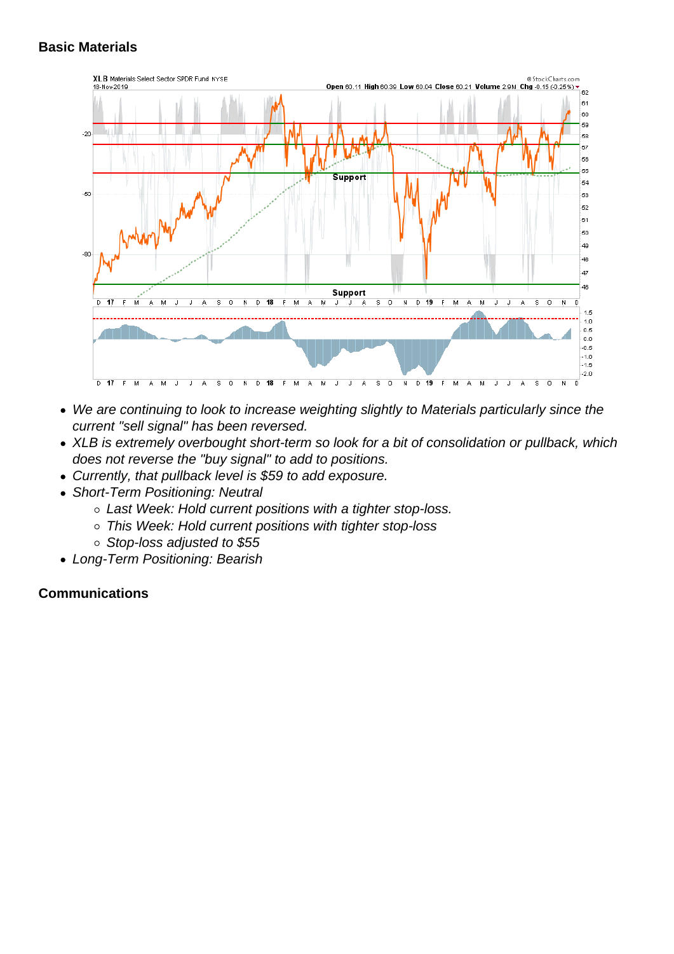- We are continuing to look to increase weighting slightly to Materials particularly since the current "sell signal" has been reversed.
- XLB is extremely overbought short-term so look for a bit of consolidation or pullback, which does not reverse the "buy signal" to add to positions.
- Currently, that pullback level is \$59 to add exposure.
- Short-Term Positioning: Neutral
	- Last Week: Hold current positions with a tighter stop-loss.
	- This Week: Hold current positions with tighter stop-loss
	- Stop-loss adjusted to \$55
- Long-Term Positioning: Bearish

**Communications**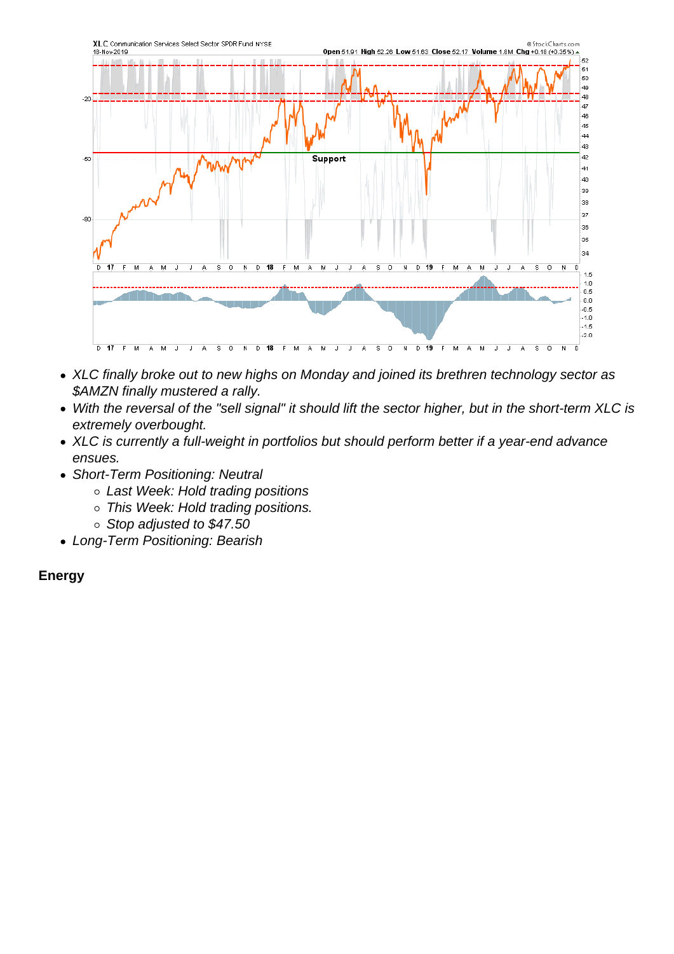- XLC finally broke out to new highs on Monday and joined its brethren technology sector as \$AMZN finally mustered a rally.
- With the reversal of the "sell signal" it should lift the sector higher, but in the short-term XLC is extremely overbought.
- XLC is currently a full-weight in portfolios but should perform better if a year-end advance ensues.
- Short-Term Positioning: Neutral
	- Last Week: Hold trading positions
	- o This Week: Hold trading positions.
	- $\circ$  Stop adjusted to \$47.50
- Long-Term Positioning: Bearish

Energy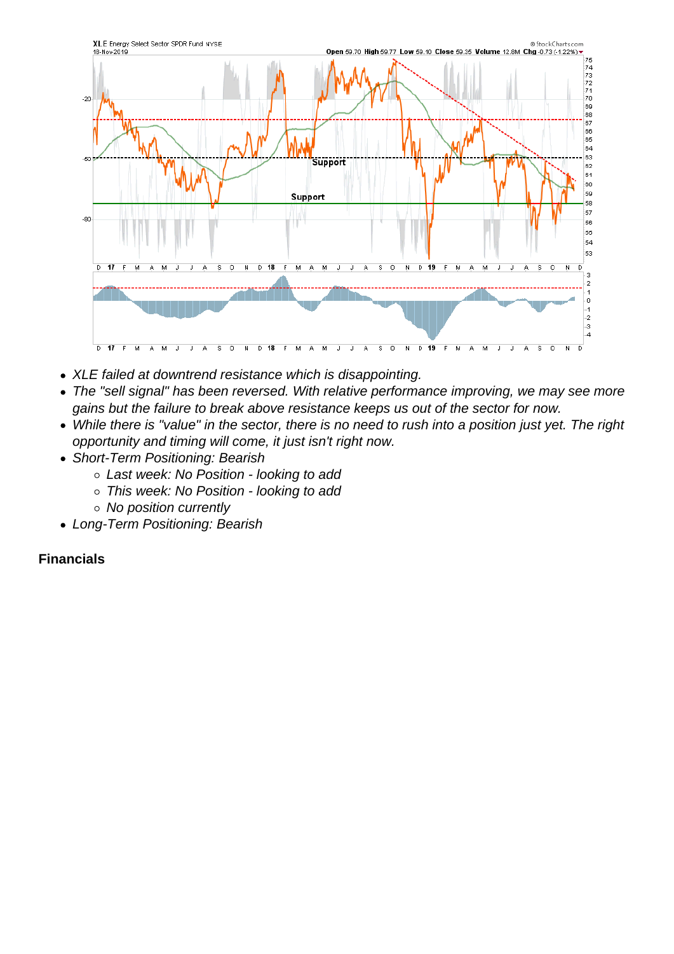- XLE failed at downtrend resistance which is disappointing.
- The "sell signal" has been reversed. With relative performance improving, we may see more gains but the failure to break above resistance keeps us out of the sector for now.
- While there is "value" in the sector, there is no need to rush into a position just yet. The right opportunity and timing will come, it just isn't right now.
- Short-Term Positioning: Bearish
	- Last week: No Position looking to add
	- This week: No Position looking to add
	- No position currently
- Long-Term Positioning: Bearish

**Financials**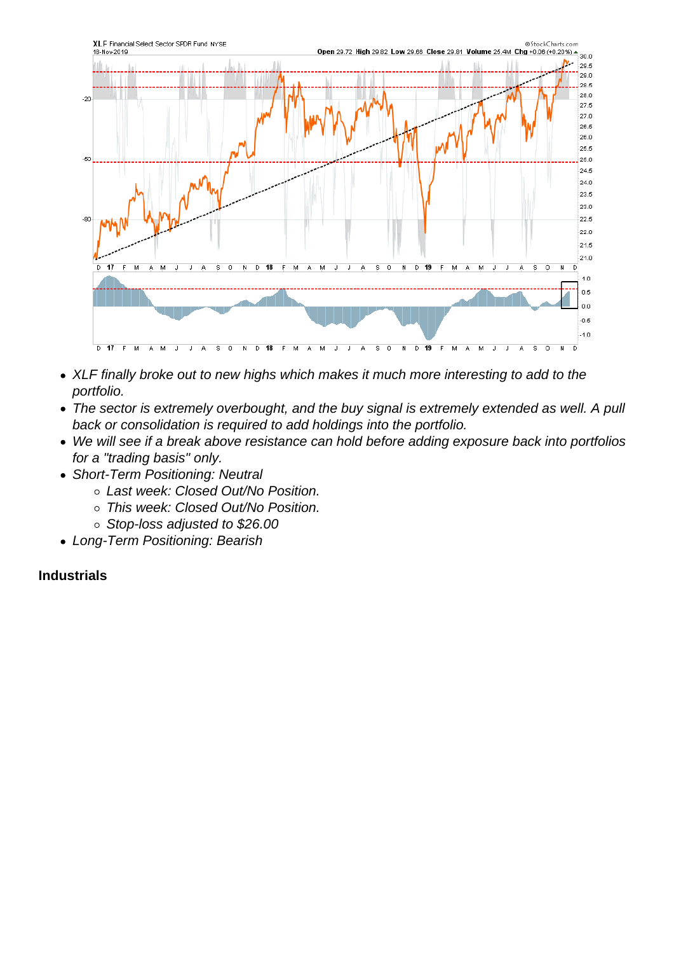- XLF finally broke out to new highs which makes it much more interesting to add to the portfolio.
- The sector is extremely overbought, and the buy signal is extremely extended as well. A pull back or consolidation is required to add holdings into the portfolio.
- We will see if a break above resistance can hold before adding exposure back into portfolios for a "trading basis" only.
- Short-Term Positioning: Neutral
	- Last week: Closed Out/No Position.
	- o This week: Closed Out/No Position.
	- o Stop-loss adjusted to \$26.00
- Long-Term Positioning: Bearish

Industrials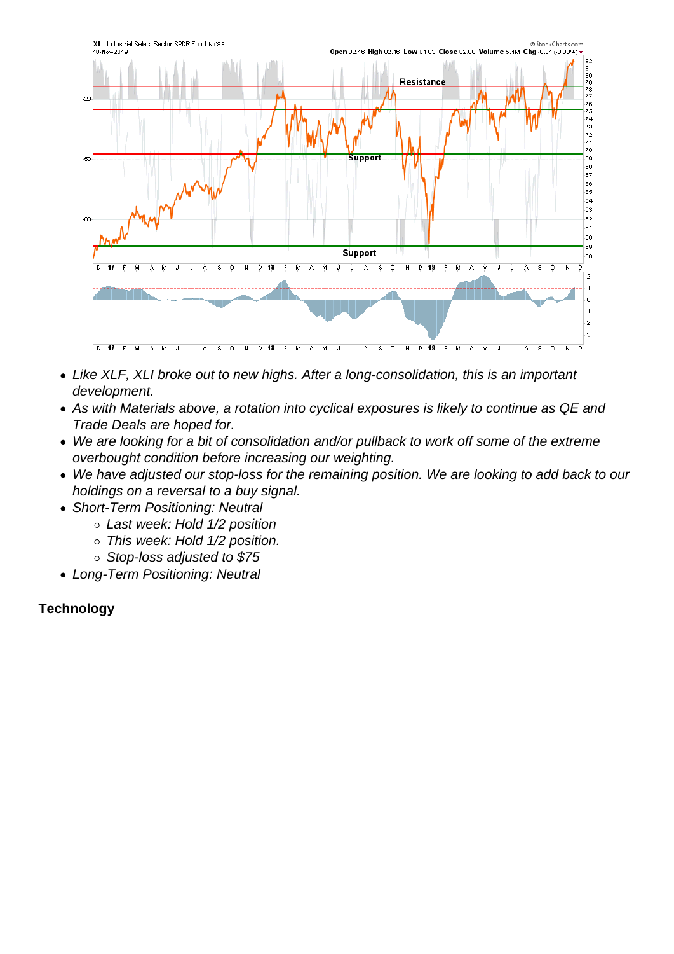- Like XLF, XLI broke out to new highs. After a long-consolidation, this is an important development.
- As with Materials above, a rotation into cyclical exposures is likely to continue as QE and Trade Deals are hoped for.
- We are looking for a bit of consolidation and/or pullback to work off some of the extreme overbought condition before increasing our weighting.
- We have adjusted our stop-loss for the remaining position. We are looking to add back to our holdings on a reversal to a buy signal.
- Short-Term Positioning: Neutral
	- Last week: Hold 1/2 position
	- This week: Hold 1/2 position.
	- Stop-loss adjusted to \$75
- Long-Term Positioning: Neutral

**Technology**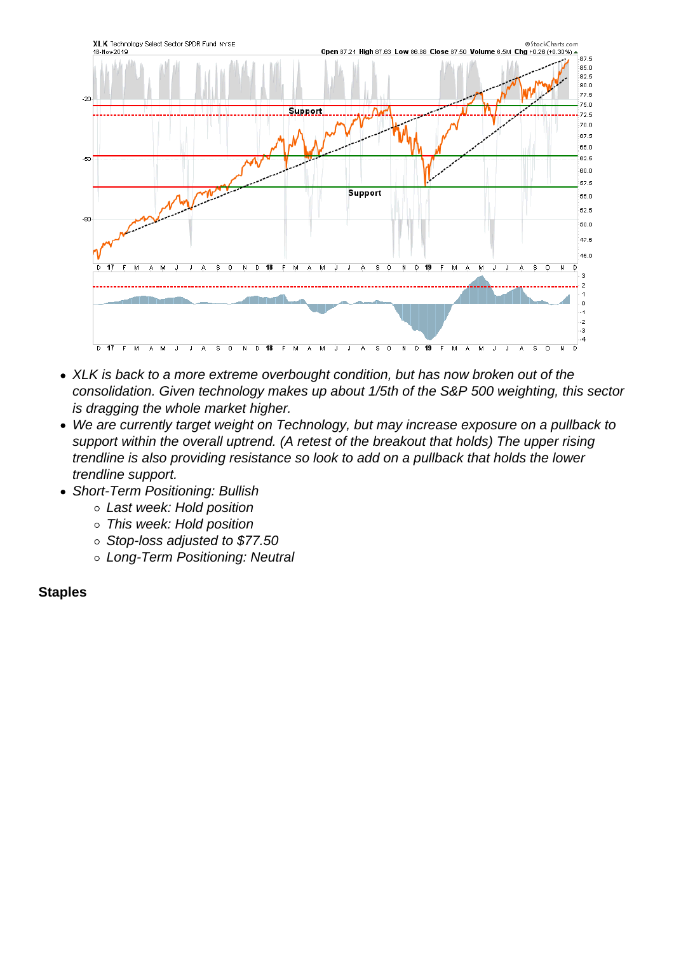- XLK is back to a more extreme overbought condition, but has now broken out of the consolidation. Given technology makes up about 1/5th of the S&P 500 weighting, this sector is dragging the whole market higher.
- We are currently target weight on Technology, but may increase exposure on a pullback to support within the overall uptrend. (A retest of the breakout that holds) The upper rising trendline is also providing resistance so look to add on a pullback that holds the lower trendline support.
- Short-Term Positioning: Bullish
	- Last week: Hold position
	- This week: Hold position
	- Stop-loss adjusted to \$77.50
	- Long-Term Positioning: Neutral

**Staples**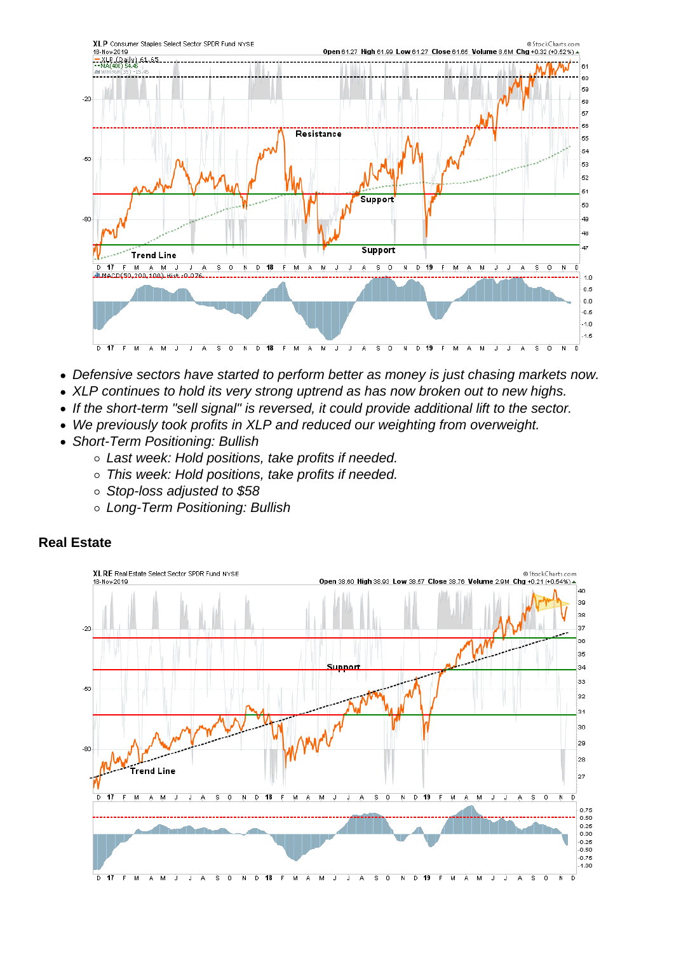- Defensive sectors have started to perform better as money is just chasing markets now.
- XLP continues to hold its very strong uptrend as has now broken out to new highs.
- If the short-term "sell signal" is reversed, it could provide additional lift to the sector.
- We previously took profits in XLP and reduced our weighting from overweight.
- Short-Term Positioning: Bullish
	- Last week: Hold positions, take profits if needed.
	- This week: Hold positions, take profits if needed.
	- Stop-loss adjusted to \$58
	- Long-Term Positioning: Bullish

Real Estate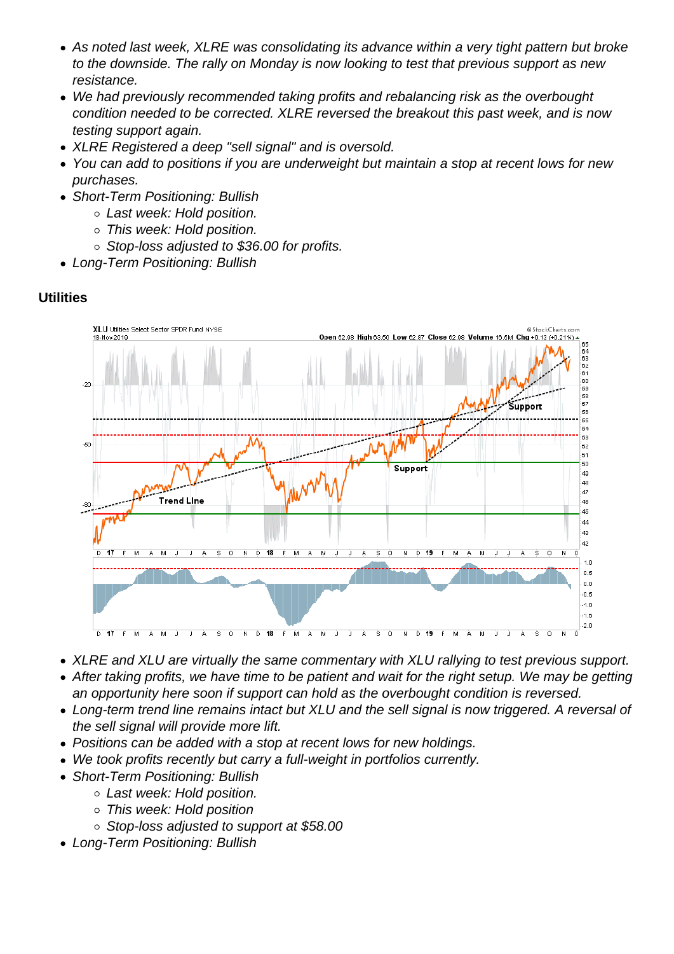- As noted last week, XLRE was consolidating its advance within a very tight pattern but broke to the downside. The rally on Monday is now looking to test that previous support as new resistance.
- We had previously recommended taking profits and rebalancing risk as the overbought condition needed to be corrected. XLRE reversed the breakout this past week, and is now testing support again.
- XLRE Registered a deep "sell signal" and is oversold.
- You can add to positions if you are underweight but maintain a stop at recent lows for new purchases.
- Short-Term Positioning: Bullish
	- Last week: Hold position.
	- This week: Hold position.
	- o Stop-loss adjusted to \$36.00 for profits.
- Long-Term Positioning: Bullish

**Utilities** 

- XLRE and XLU are virtually the same commentary with XLU rallying to test previous support.
- After taking profits, we have time to be patient and wait for the right setup. We may be getting an opportunity here soon if support can hold as the overbought condition is reversed.
- Long-term trend line remains intact but XLU and the sell signal is now triggered. A reversal of the sell signal will provide more lift.
- Positions can be added with a stop at recent lows for new holdings.
- We took profits recently but carry a full-weight in portfolios currently.
- Short-Term Positioning: Bullish
	- Last week: Hold position.
	- This week: Hold position
	- Stop-loss adjusted to support at \$58.00
- Long-Term Positioning: Bullish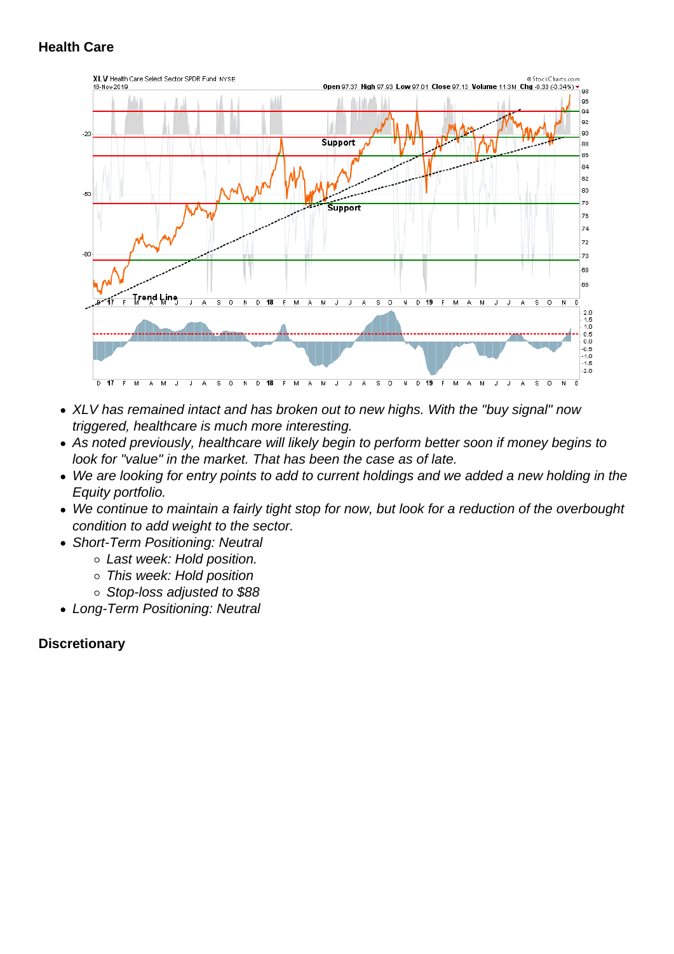- XLV has remained intact and has broken out to new highs. With the "buy signal" now triggered, healthcare is much more interesting.
- As noted previously, healthcare will likely begin to perform better soon if money begins to look for "value" in the market. That has been the case as of late.
- We are looking for entry points to add to current holdings and we added a new holding in the Equity portfolio.
- We continue to maintain a fairly tight stop for now, but look for a reduction of the overbought condition to add weight to the sector.
- Short-Term Positioning: Neutral
	- Last week: Hold position.
	- This week: Hold position
	- Stop-loss adjusted to \$88
- Long-Term Positioning: Neutral

**Discretionary**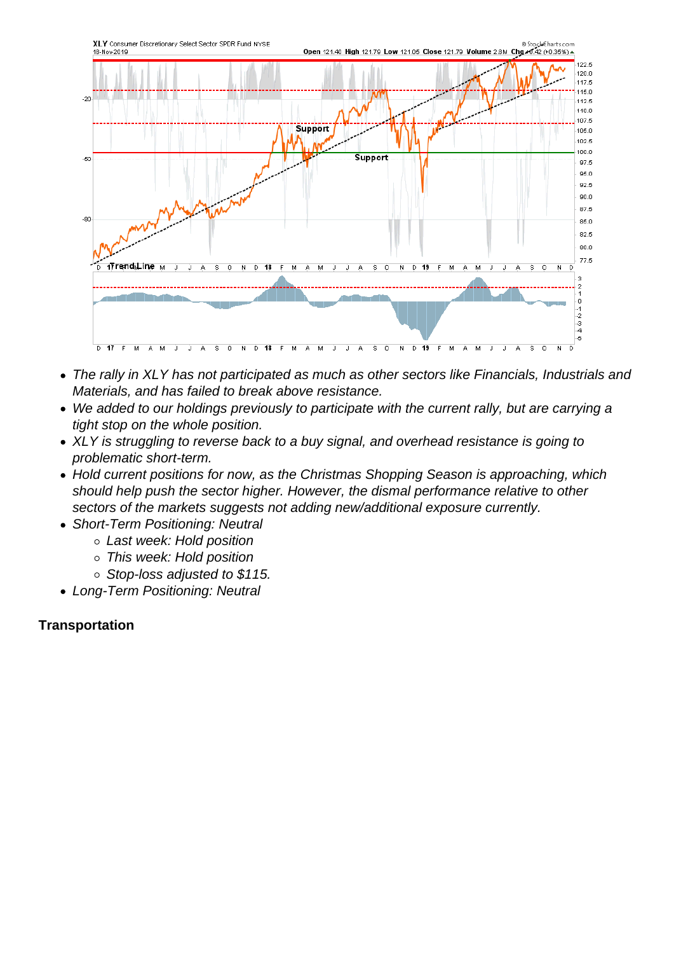- The rally in XLY has not participated as much as other sectors like Financials, Industrials and Materials, and has failed to break above resistance.
- We added to our holdings previously to participate with the current rally, but are carrying a tight stop on the whole position.
- XLY is struggling to reverse back to a buy signal, and overhead resistance is going to problematic short-term.
- Hold current positions for now, as the Christmas Shopping Season is approaching, which should help push the sector higher. However, the dismal performance relative to other sectors of the markets suggests not adding new/additional exposure currently.
- Short-Term Positioning: Neutral
	- Last week: Hold position
	- This week: Hold position
	- o Stop-loss adjusted to \$115.
- Long-Term Positioning: Neutral

**Transportation**